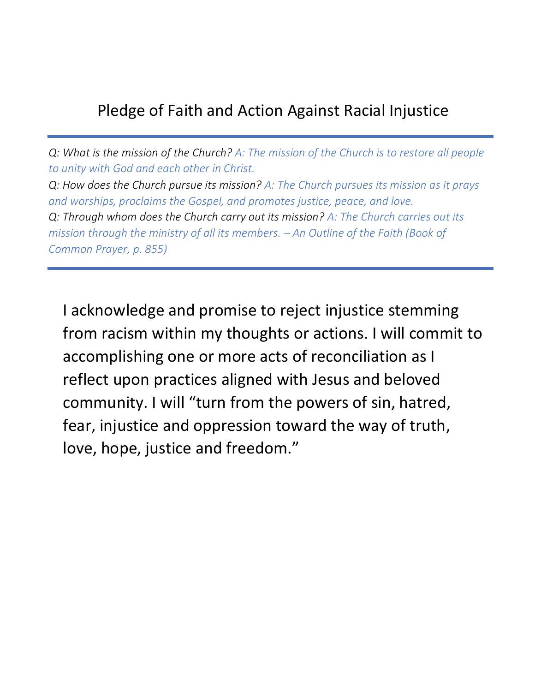## Pledge of Faith and Action Against Racial Injustice

*Q: What is the mission of the Church? A: The mission of the Church is to restore all people to unity with God and each other in Christ. Q: How does the Church pursue its mission? A: The Church pursues its mission as it prays and worships, proclaims the Gospel, and promotes justice, peace, and love. Q: Through whom does the Church carry out its mission? A: The Church carries out its mission through the ministry of all its members. – An Outline of the Faith (Book of Common Prayer, p. 855)*

I acknowledge and promise to reject injustice stemming from racism within my thoughts or actions. I will commit to accomplishing one or more acts of reconciliation as I reflect upon practices aligned with Jesus and beloved community. I will "turn from the powers of sin, hatred, fear, injustice and oppression toward the way of truth, love, hope, justice and freedom."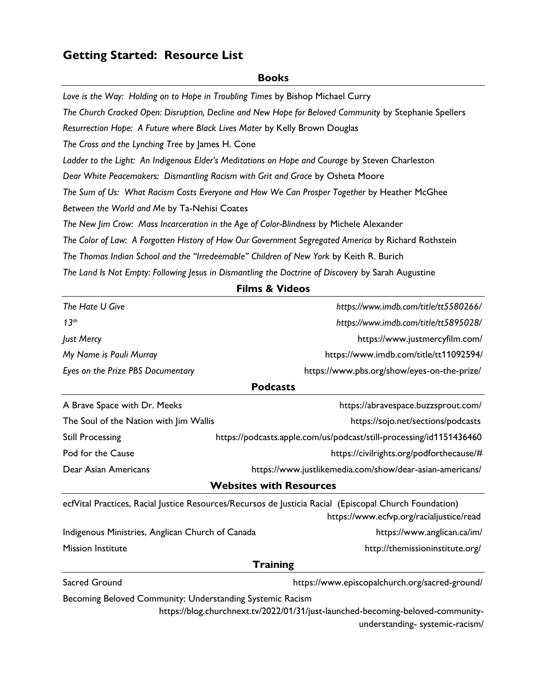## **Getting Started: Resource List**

#### **Books**

Love is the Way: Holding on to Hope in Troubling Times by Bishop Michael Curry *The Church Cracked Open: Disruption, Decline and New Hope for Beloved Community* by Stephanie Spellers *Resurrection Hope: A Future where Black Lives Mater* by Kelly Brown Douglas *The Cross and the Lynching Tree* by James H. Cone *Ladder to the Light: An Indigenous Elder's Meditations on Hope and Courage* by Steven Charleston *Dear White Peacemakers: Dismantling Racism with Grit and Grace* by Osheta Moore *The Sum of Us: What Racism Costs Everyone and How We Can Prosper Together* by Heather McGhee *Between the World and Me* by Ta-Nehisi Coates *The New Jim Crow: Mass Incarceration in the Age of Color-Blindness* by Michele Alexander *The Color of Law: A Forgotten History of How Our Government Segregated America* by Richard Rothstein *The Thomas Indian School and the "Irredeemable" Children of New York* by Keith R. Burich *The Land Is Not Empty: Following Jesus in Dismantling the Doctrine of Discovery* by Sarah Augustine

**Films & Videos**

| The Hate U Give                                                                                        | https://www.imdb.com/title/tt5580266/                                                                             |  |  |
|--------------------------------------------------------------------------------------------------------|-------------------------------------------------------------------------------------------------------------------|--|--|
| 13 <sup>th</sup>                                                                                       | https://www.imdb.com/title/tt5895028/                                                                             |  |  |
| Just Mercy                                                                                             | https://www.justmercyfilm.com/                                                                                    |  |  |
| My Name is Pauli Murray                                                                                | https://www.imdb.com/title/tt11092594/                                                                            |  |  |
| Eyes on the Prize PBS Documentary                                                                      | https://www.pbs.org/show/eyes-on-the-prize/                                                                       |  |  |
| <b>Podcasts</b>                                                                                        |                                                                                                                   |  |  |
| A Brave Space with Dr. Meeks                                                                           | https://abravespace.buzzsprout.com/                                                                               |  |  |
| The Soul of the Nation with Jim Wallis                                                                 | https://sojo.net/sections/podcasts                                                                                |  |  |
| <b>Still Processing</b>                                                                                | https://podcasts.apple.com/us/podcast/still-processing/id1151436460                                               |  |  |
| Pod for the Cause                                                                                      | https://civilrights.org/podforthecause/#                                                                          |  |  |
| Dear Asian Americans                                                                                   | https://www.justlikemedia.com/show/dear-asian-americans/                                                          |  |  |
| <b>Websites with Resources</b>                                                                         |                                                                                                                   |  |  |
| ecfVital Practices, Racial Justice Resources/Recursos de Justicia Racial (Episcopal Church Foundation) |                                                                                                                   |  |  |
|                                                                                                        | https://www.ecfvp.org/racialjustice/read                                                                          |  |  |
| Indigenous Ministries, Anglican Church of Canada                                                       | https://www.anglican.ca/im/                                                                                       |  |  |
| <b>Mission Institute</b>                                                                               | http://themissioninstitute.org/                                                                                   |  |  |
| <b>Training</b>                                                                                        |                                                                                                                   |  |  |
| Sacred Ground                                                                                          | https://www.episcopalchurch.org/sacred-ground/                                                                    |  |  |
| Becoming Beloved Community: Understanding Systemic Racism                                              |                                                                                                                   |  |  |
|                                                                                                        | https://blog.churchnext.tv/2022/01/31/just-launched-becoming-beloved-community-<br>understanding-systemic-racism/ |  |  |